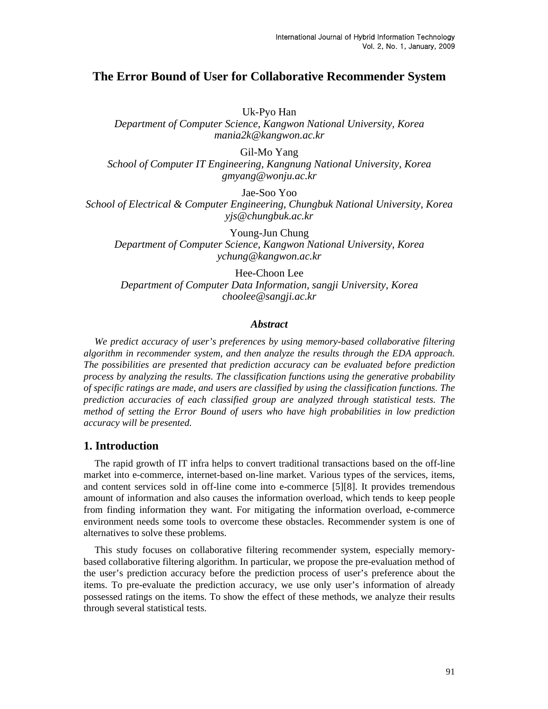# **The Error Bound of User for Collaborative Recommender System**

Uk-Pyo Han

*Department of Computer Science, Kangwon National University, Korea mania2k@kangwon.ac.kr* 

Gil-Mo Yang

*School of Computer IT Engineering, Kangnung National University, Korea gmyang@wonju.ac.kr*

Jae-Soo Yoo

*School of Electrical & Computer Engineering, Chungbuk National University, Korea yjs@chungbuk.ac.kr*

Young-Jun Chung *Department of Computer Science, Kangwon National University, Korea ychung@kangwon.ac.kr*

Hee-Choon Lee *Department of Computer Data Information, sangji University, Korea choolee@sangji.ac.kr*

#### *Abstract*

*We predict accuracy of user's preferences by using memory-based collaborative filtering algorithm in recommender system, and then analyze the results through the EDA approach. The possibilities are presented that prediction accuracy can be evaluated before prediction process by analyzing the results. The classification functions using the generative probability of specific ratings are made, and users are classified by using the classification functions. The prediction accuracies of each classified group are analyzed through statistical tests. The method of setting the Error Bound of users who have high probabilities in low prediction accuracy will be presented.* 

### **1. Introduction**

The rapid growth of IT infra helps to convert traditional transactions based on the off-line market into e-commerce, internet-based on-line market. Various types of the services, items, and content services sold in off-line come into e-commerce [5][8]. It provides tremendous amount of information and also causes the information overload, which tends to keep people from finding information they want. For mitigating the information overload, e-commerce environment needs some tools to overcome these obstacles. Recommender system is one of alternatives to solve these problems.

This study focuses on collaborative filtering recommender system, especially memorybased collaborative filtering algorithm. In particular, we propose the pre-evaluation method of the user's prediction accuracy before the prediction process of user's preference about the items. To pre-evaluate the prediction accuracy, we use only user's information of already possessed ratings on the items. To show the effect of these methods, we analyze their results through several statistical tests.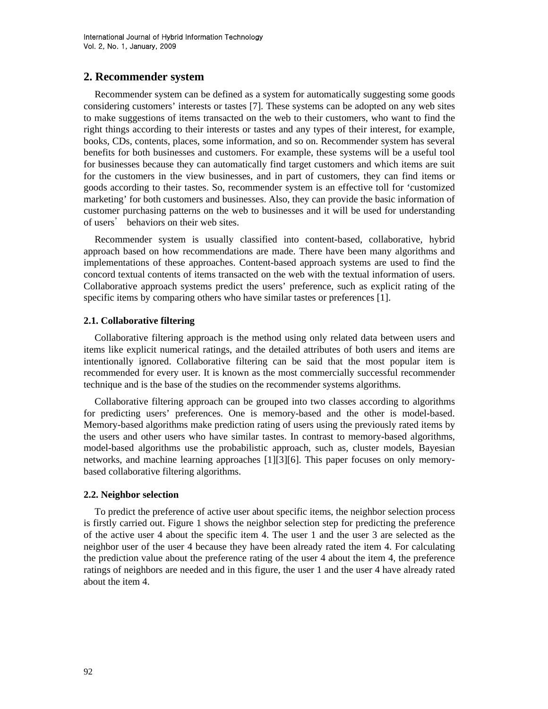# **2. Recommender system**

Recommender system can be defined as a system for automatically suggesting some goods considering customers' interests or tastes [7]. These systems can be adopted on any web sites to make suggestions of items transacted on the web to their customers, who want to find the right things according to their interests or tastes and any types of their interest, for example, books, CDs, contents, places, some information, and so on. Recommender system has several benefits for both businesses and customers. For example, these systems will be a useful tool for businesses because they can automatically find target customers and which items are suit for the customers in the view businesses, and in part of customers, they can find items or goods according to their tastes. So, recommender system is an effective toll for 'customized marketing' for both customers and businesses. Also, they can provide the basic information of customer purchasing patterns on the web to businesses and it will be used for understanding of users' behaviors on their web sites.

Recommender system is usually classified into content-based, collaborative, hybrid approach based on how recommendations are made. There have been many algorithms and implementations of these approaches. Content-based approach systems are used to find the concord textual contents of items transacted on the web with the textual information of users. Collaborative approach systems predict the users' preference, such as explicit rating of the specific items by comparing others who have similar tastes or preferences [1].

#### **2.1. Collaborative filtering**

Collaborative filtering approach is the method using only related data between users and items like explicit numerical ratings, and the detailed attributes of both users and items are intentionally ignored. Collaborative filtering can be said that the most popular item is recommended for every user. It is known as the most commercially successful recommender technique and is the base of the studies on the recommender systems algorithms.

Collaborative filtering approach can be grouped into two classes according to algorithms for predicting users' preferences. One is memory-based and the other is model-based. Memory-based algorithms make prediction rating of users using the previously rated items by the users and other users who have similar tastes. In contrast to memory-based algorithms, model-based algorithms use the probabilistic approach, such as, cluster models, Bayesian networks, and machine learning approaches [1][3][6]. This paper focuses on only memorybased collaborative filtering algorithms.

#### **2.2. Neighbor selection**

To predict the preference of active user about specific items, the neighbor selection process is firstly carried out. Figure 1 shows the neighbor selection step for predicting the preference of the active user 4 about the specific item 4. The user 1 and the user 3 are selected as the neighbor user of the user 4 because they have been already rated the item 4. For calculating the prediction value about the preference rating of the user 4 about the item 4, the preference ratings of neighbors are needed and in this figure, the user 1 and the user 4 have already rated about the item 4.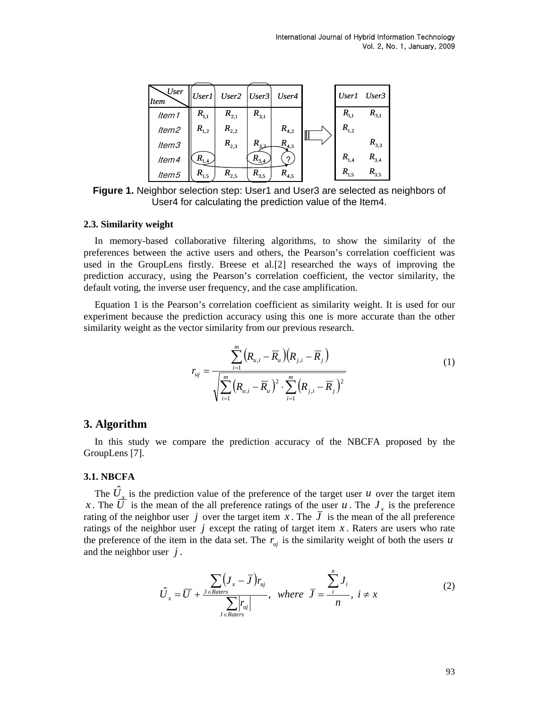| User<br><b>Item</b> | <b>User1</b>                         | User2 $ User3 $ |           | User4     |           | User1 User3 |
|---------------------|--------------------------------------|-----------------|-----------|-----------|-----------|-------------|
| Item1               | $R_{1,1}$                            | $R_{2,1}$       | $R_{3,1}$ |           | $R_{1,1}$ | $R_{3,1}$   |
| ltem2               | $R_{1,2}$                            | $R_{2,2}$       |           | $R_{4,2}$ | $R_{1,2}$ |             |
| ltem3               |                                      | $R_{2,3}$       | $R_{33}$  | $R_{4,3}$ |           | $R_{3,3}$   |
| ltem4               | $\kappa_{\scriptscriptstyle 1,4}^{}$ |                 | $R_{3,4}$ |           | $R_{1,4}$ | $R_{3,4}$   |
| ltem5               | $R_{1,5}$                            | $R_{2,5}$       | $R_{3,5}$ | $R_{4,5}$ | $R_{1.5}$ | $R_{3,5}$   |

**Figure 1.** Neighbor selection step: User1 and User3 are selected as neighbors of User4 for calculating the prediction value of the Item4.

#### **2.3. Similarity weight**

In memory-based collaborative filtering algorithms, to show the similarity of the preferences between the active users and others, the Pearson's correlation coefficient was used in the GroupLens firstly. Breese et al.[2] researched the ways of improving the prediction accuracy, using the Pearson's correlation coefficient, the vector similarity, the default voting, the inverse user frequency, and the case amplification.

Equation 1 is the Pearson's correlation coefficient as similarity weight. It is used for our experiment because the prediction accuracy using this one is more accurate than the other similarity weight as the vector similarity from our previous research.

$$
r_{uj} = \frac{\sum_{i=1}^{m} (R_{u,i} - \overline{R}_{u})(R_{j,i} - \overline{R}_{j})}{\sqrt{\sum_{i=1}^{m} (R_{u,i} - \overline{R}_{u})^{2} \cdot \sum_{i=1}^{m} (R_{j,i} - \overline{R}_{j})^{2}}}
$$
(1)

### **3. Algorithm**

In this study we compare the prediction accuracy of the NBCFA proposed by the GroupLens [7].

#### **3.1. NBCFA**

The  $\hat{U}_{\perp}$  is the prediction value of the preference of the target user *u* over the target item *x*. The  $\overrightarrow{U}$  is the mean of the all preference ratings of the user *u*. The *J* is the preference rating of the neighbor user *j* over the target item *x*. The  $\overline{J}$  is the mean of the all preference ratings of the neighbor user  $j$  except the rating of target item  $x$ . Raters are users who rate the preference of the item in the data set. The  $r_{uj}$  is the similarity weight of both the users *u* and the neighbor user *j* .

$$
\hat{U}_x = \overline{U} + \frac{\sum_{j \in Raters} (J_x - \overline{J})_{r_{uj}}}{\sum_{j \in Raters} |r_{uj}|}, \text{ where } \overline{J} = \frac{\sum_{i}^{n} J_i}{n}, \ i \neq x \tag{2}
$$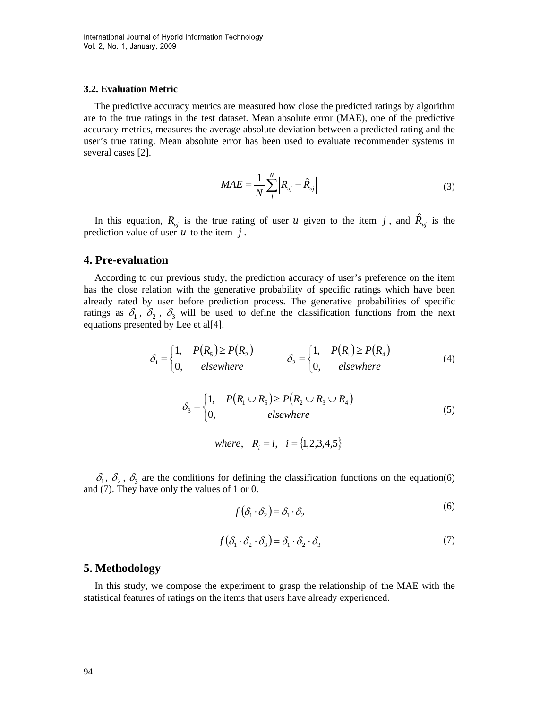#### **3.2. Evaluation Metric**

The predictive accuracy metrics are measured how close the predicted ratings by algorithm are to the true ratings in the test dataset. Mean absolute error (MAE), one of the predictive accuracy metrics, measures the average absolute deviation between a predicted rating and the user's true rating. Mean absolute error has been used to evaluate recommender systems in several cases [2].

$$
MAE = \frac{1}{N} \sum_{j}^{N} \left| R_{uj} - \hat{R}_{uj} \right| \tag{3}
$$

In this equation,  $R_{uj}$  is the true rating of user *u* given to the item *j*, and  $\hat{R}_{uj}$  is the prediction value of user  $u$  to the item  $j$ .

### **4. Pre-evaluation**

According to our previous study, the prediction accuracy of user's preference on the item has the close relation with the generative probability of specific ratings which have been already rated by user before prediction process. The generative probabilities of specific ratings as  $\delta_1$ ,  $\delta_2$ ,  $\delta_3$  will be used to define the classification functions from the next equations presented by Lee et al[4].

$$
\delta_1 = \begin{cases} 1, & P(R_5) \ge P(R_2) \\ 0, & \text{elsewhere} \end{cases} \qquad \qquad \delta_2 = \begin{cases} 1, & P(R_1) \ge P(R_4) \\ 0, & \text{elsewhere} \end{cases} \tag{4}
$$

$$
\delta_3 = \begin{cases} 1, & P(R_1 \cup R_5) \ge P(R_2 \cup R_3 \cup R_4) \\ 0, & elsewhere \end{cases}
$$
 (5)

*i* =  $\{1, 2, 3, 4, 5\}$ 

 $\delta_1$ ,  $\delta_2$ ,  $\delta_3$  are the conditions for defining the classification functions on the equation(6) and (7). They have only the values of 1 or 0.

$$
f(\delta_1 \cdot \delta_2) = \delta_1 \cdot \delta_2 \tag{6}
$$

$$
f(\delta_1 \cdot \delta_2 \cdot \delta_3) = \delta_1 \cdot \delta_2 \cdot \delta_3 \tag{7}
$$

### **5. Methodology**

In this study, we compose the experiment to grasp the relationship of the MAE with the statistical features of ratings on the items that users have already experienced.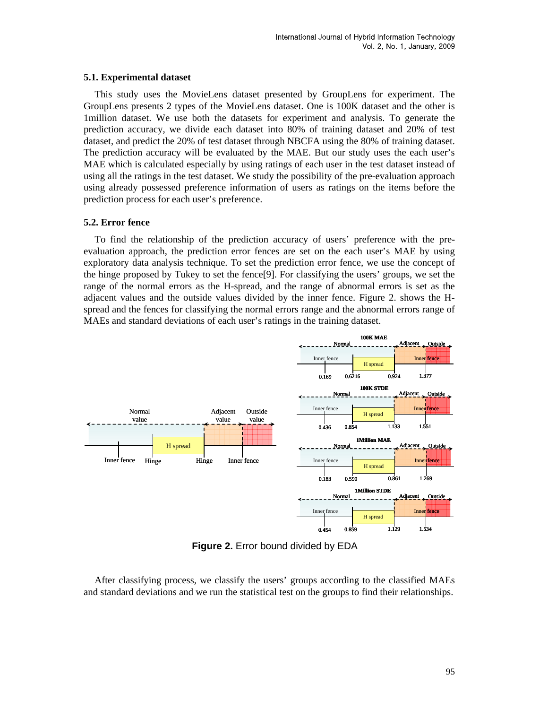#### **5.1. Experimental dataset**

This study uses the MovieLens dataset presented by GroupLens for experiment. The GroupLens presents 2 types of the MovieLens dataset. One is 100K dataset and the other is 1million dataset. We use both the datasets for experiment and analysis. To generate the prediction accuracy, we divide each dataset into 80% of training dataset and 20% of test dataset, and predict the 20% of test dataset through NBCFA using the 80% of training dataset. The prediction accuracy will be evaluated by the MAE. But our study uses the each user's MAE which is calculated especially by using ratings of each user in the test dataset instead of using all the ratings in the test dataset. We study the possibility of the pre-evaluation approach using already possessed preference information of users as ratings on the items before the prediction process for each user's preference.

### **5.2. Error fence**

To find the relationship of the prediction accuracy of users' preference with the preevaluation approach, the prediction error fences are set on the each user's MAE by using exploratory data analysis technique. To set the prediction error fence, we use the concept of the hinge proposed by Tukey to set the fence[9]. For classifying the users' groups, we set the range of the normal errors as the H-spread, and the range of abnormal errors is set as the adjacent values and the outside values divided by the inner fence. Figure 2. shows the Hspread and the fences for classifying the normal errors range and the abnormal errors range of MAEs and standard deviations of each user's ratings in the training dataset.



**Figure 2.** Error bound divided by EDA

After classifying process, we classify the users' groups according to the classified MAEs and standard deviations and we run the statistical test on the groups to find their relationships.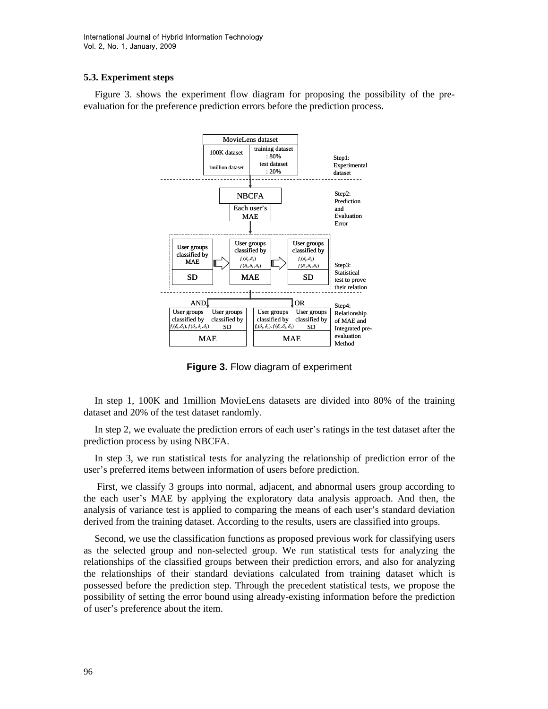### **5.3. Experiment steps**

Figure 3. shows the experiment flow diagram for proposing the possibility of the preevaluation for the preference prediction errors before the prediction process.



**Figure 3.** Flow diagram of experiment

In step 1, 100K and 1million MovieLens datasets are divided into 80% of the training dataset and 20% of the test dataset randomly.

In step 2, we evaluate the prediction errors of each user's ratings in the test dataset after the prediction process by using NBCFA.

In step 3, we run statistical tests for analyzing the relationship of prediction error of the user's preferred items between information of users before prediction.

 First, we classify 3 groups into normal, adjacent, and abnormal users group according to the each user's MAE by applying the exploratory data analysis approach. And then, the analysis of variance test is applied to comparing the means of each user's standard deviation derived from the training dataset. According to the results, users are classified into groups.

Second, we use the classification functions as proposed previous work for classifying users as the selected group and non-selected group. We run statistical tests for analyzing the relationships of the classified groups between their prediction errors, and also for analyzing the relationships of their standard deviations calculated from training dataset which is possessed before the prediction step. Through the precedent statistical tests, we propose the possibility of setting the error bound using already-existing information before the prediction of user's preference about the item.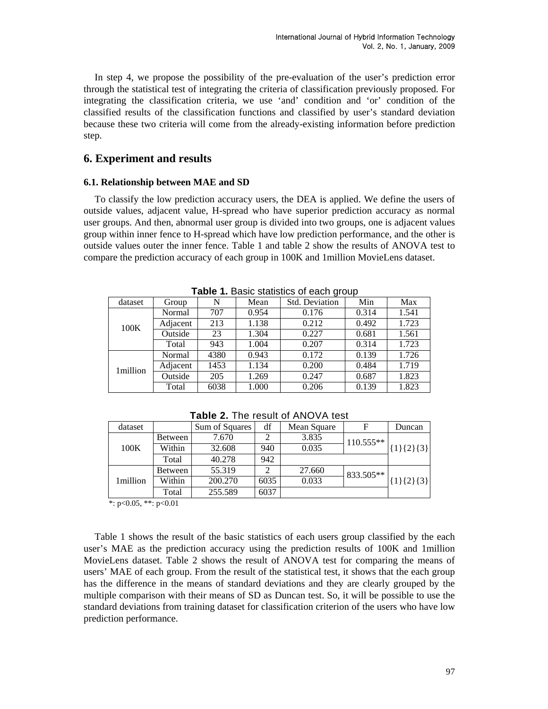In step 4, we propose the possibility of the pre-evaluation of the user's prediction error through the statistical test of integrating the criteria of classification previously proposed. For integrating the classification criteria, we use 'and' condition and 'or' condition of the classified results of the classification functions and classified by user's standard deviation because these two criteria will come from the already-existing information before prediction step.

# **6. Experiment and results**

#### **6.1. Relationship between MAE and SD**

To classify the low prediction accuracy users, the DEA is applied. We define the users of outside values, adjacent value, H-spread who have superior prediction accuracy as normal user groups. And then, abnormal user group is divided into two groups, one is adjacent values group within inner fence to H-spread which have low prediction performance, and the other is outside values outer the inner fence. Table 1 and table 2 show the results of ANOVA test to compare the prediction accuracy of each group in 100K and 1million MovieLens dataset.

| <b>Table 1.</b> Dasit statistics of each group |          |      |       |                |       |       |  |  |  |  |
|------------------------------------------------|----------|------|-------|----------------|-------|-------|--|--|--|--|
| dataset                                        | Group    | N    | Mean  | Std. Deviation | Min   | Max   |  |  |  |  |
| 100K                                           | Normal   | 707  | 0.954 | 0.176          | 0.314 | 1.541 |  |  |  |  |
|                                                | Adjacent | 213  | 1.138 | 0.212          | 0.492 | 1.723 |  |  |  |  |
|                                                | Outside  | 23   | 1.304 | 0.227          | 0.681 | 1.561 |  |  |  |  |
|                                                | Total    | 943  | 1.004 | 0.207          | 0.314 | 1.723 |  |  |  |  |
| 1 million                                      | Normal   | 4380 | 0.943 | 0.172          | 0.139 | 1.726 |  |  |  |  |
|                                                | Adjacent | 1453 | 1.134 | 0.200          | 0.484 | 1.719 |  |  |  |  |
|                                                | Outside  | 205  | 1.269 | 0.247          | 0.687 | 1.823 |  |  |  |  |
|                                                | Total    | 6038 | 1.000 | 0.206          | 0.139 | 1.823 |  |  |  |  |

**Table 1.** Basic statistics of each group

| dataset  |         | Sum of Squares | df   | Mean Square | F           | Duncan      |
|----------|---------|----------------|------|-------------|-------------|-------------|
| 100K     | Between | 7.670          |      | 3.835       | $110.555**$ |             |
|          | Within  | 32.608         | 940  | 0.035       |             | ${1}{2}{3}$ |
|          | Total   | 40.278         | 942  |             |             |             |
| 1million | Between | 55.319         |      | 27.660      | 833.505**   |             |
|          | Within  | 200.270        | 6035 | 0.033       |             | ${1}{2}{3}$ |
|          | Total   | 255.589        | 6037 |             |             |             |

**Table 2.** The result of ANOVA test

 $*$ : p<0.05, \*\*: p<0.01

Table 1 shows the result of the basic statistics of each users group classified by the each user's MAE as the prediction accuracy using the prediction results of 100K and 1million MovieLens dataset. Table 2 shows the result of ANOVA test for comparing the means of users' MAE of each group. From the result of the statistical test, it shows that the each group has the difference in the means of standard deviations and they are clearly grouped by the multiple comparison with their means of SD as Duncan test. So, it will be possible to use the standard deviations from training dataset for classification criterion of the users who have low prediction performance.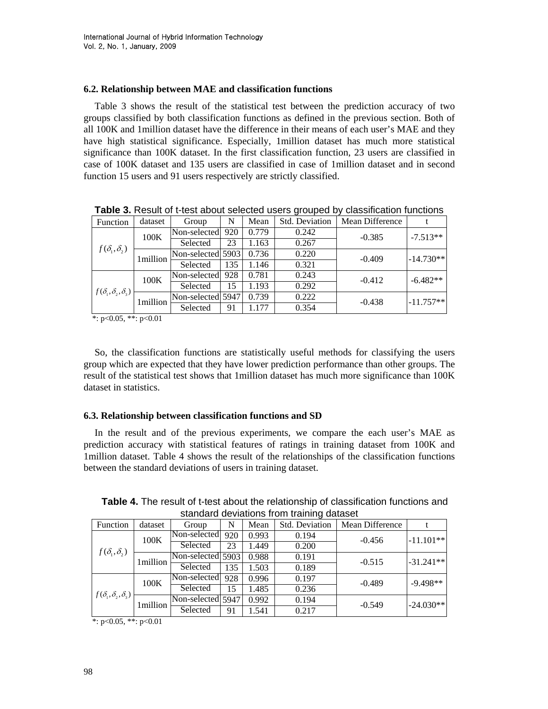### **6.2. Relationship between MAE and classification functions**

Table 3 shows the result of the statistical test between the prediction accuracy of two groups classified by both classification functions as defined in the previous section. Both of all 100K and 1million dataset have the difference in their means of each user's MAE and they have high statistical significance. Especially, 1million dataset has much more statistical significance than 100K dataset. In the first classification function, 23 users are classified in case of 100K dataset and 135 users are classified in case of 1million dataset and in second function 15 users and 91 users respectively are strictly classified.

| Function                          | dataset   | Group             | N   | Mean  | Std. Deviation | Mean Difference |             |
|-----------------------------------|-----------|-------------------|-----|-------|----------------|-----------------|-------------|
| $f(\delta_1,\delta_2)$            | 100K      | Non-selected 920  |     | 0.779 | 0.242          | $-0.385$        | $-7.513**$  |
|                                   |           | Selected          | 23  | 1.163 | 0.267          |                 |             |
|                                   | l million | Non-selected 5903 |     | 0.736 | 0.220          | $-0.409$        | $-14.730**$ |
|                                   |           | Selected          | 135 | 1.146 | 0.321          |                 |             |
| $f(\delta_1, \delta_2, \delta_3)$ | 100K      | Non-selected 928  |     | 0.781 | 0.243          | $-0.412$        | $-6.482**$  |
|                                   |           | Selected          | 15  | 1.193 | 0.292          |                 |             |
|                                   | 1million  | Non-selected 5947 |     | 0.739 | 0.222          | $-0.438$        | $-11.757**$ |
|                                   |           | Selected          | 91  | .177  | 0.354          |                 |             |

**Table 3.** Result of t-test about selected users grouped by classification functions

\*: p<0.05, \*\*: p<0.01

So, the classification functions are statistically useful methods for classifying the users group which are expected that they have lower prediction performance than other groups. The result of the statistical test shows that 1million dataset has much more significance than 100K dataset in statistics.

### **6.3. Relationship between classification functions and SD**

In the result and of the previous experiments, we compare the each user's MAE as prediction accuracy with statistical features of ratings in training dataset from 100K and 1million dataset. Table 4 shows the result of the relationships of the classification functions between the standard deviations of users in training dataset.

| standard deviations from training dataset |          |                   |     |       |                |                 |             |  |
|-------------------------------------------|----------|-------------------|-----|-------|----------------|-----------------|-------------|--|
| Function                                  | dataset  | Group             | N   | Mean  | Std. Deviation | Mean Difference |             |  |
| $f(\delta_1,\delta_2)$                    | 100K     | Non-selected      | 920 | 0.993 | 0.194          | $-0.456$        | $-11.101**$ |  |
|                                           |          | Selected          | 23  | 1.449 | 0.200          |                 |             |  |
|                                           | 1million | Non-selected 5903 |     | 0.988 | 0.191          | $-0.515$        | $-31.241**$ |  |
|                                           |          | Selected          | 135 | 1.503 | 0.189          |                 |             |  |
| $f(\delta_1, \delta_2, \delta_3)$         | 100K     | Non-selected      | 928 | 0.996 | 0.197          | $-0.489$        | $-9.498**$  |  |
|                                           |          | Selected          | 15  | 1.485 | 0.236          |                 |             |  |
|                                           | 1million | Non-selected 5947 |     | 0.992 | 0.194          | $-0.549$        | $-24.030**$ |  |
|                                           |          | Selected          | 91  | 1.541 | 0.217          |                 |             |  |

**Table 4.** The result of t-test about the relationship of classification functions and standard deviations from training dataset

\*:  $p<0.05$ , \*\*:  $p<0.01$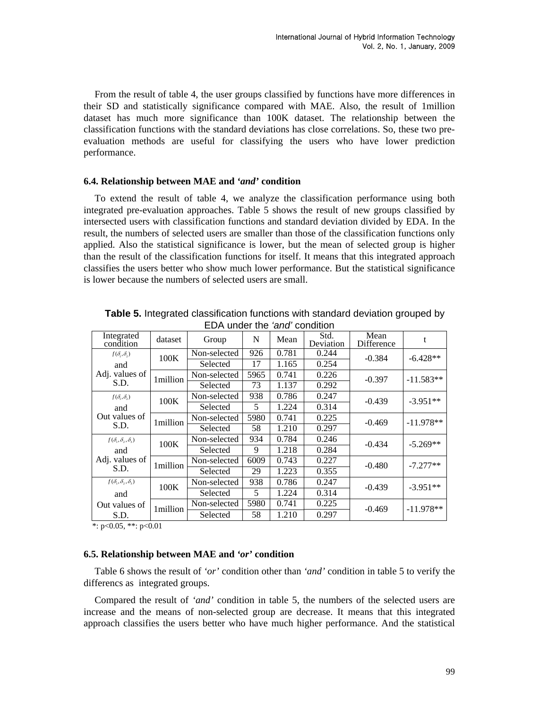From the result of table 4, the user groups classified by functions have more differences in their SD and statistically significance compared with MAE. Also, the result of 1million dataset has much more significance than 100K dataset. The relationship between the classification functions with the standard deviations has close correlations. So, these two preevaluation methods are useful for classifying the users who have lower prediction performance.

#### **6.4. Relationship between MAE and** *'and'* **condition**

To extend the result of table 4, we analyze the classification performance using both integrated pre-evaluation approaches. Table 5 shows the result of new groups classified by intersected users with classification functions and standard deviation divided by EDA. In the result, the numbers of selected users are smaller than those of the classification functions only applied. Also the statistical significance is lower, but the mean of selected group is higher than the result of the classification functions for itself. It means that this integrated approach classifies the users better who show much lower performance. But the statistical significance is lower because the numbers of selected users are small.

| Integrated<br>condition               | dataset   | Group        | N    | Mean  | Std.<br>Deviation | Mean<br>Difference | t           |
|---------------------------------------|-----------|--------------|------|-------|-------------------|--------------------|-------------|
| $f(\delta_1,\delta_2)$                | 100K      | Non-selected | 926  | 0.781 | 0.244             | $-0.384$           | $-6.428**$  |
| and                                   |           | Selected     | 17   | 1.165 | 0.254             |                    |             |
| Adj. values of                        | 1 million | Non-selected | 5965 | 0.741 | 0.226             | $-0.397$           | $-11.583**$ |
| S.D.                                  |           | Selected     | 73   | 1.137 | 0.292             |                    |             |
| $f(\delta_1,\delta_2)$                | 100K      | Non-selected | 938  | 0.786 | 0.247             | $-0.439$           | $-3.951**$  |
| and                                   |           | Selected     | 5    | 1.224 | 0.314             |                    |             |
| Out values of                         | 1million  | Non-selected | 5980 | 0.741 | 0.225             | $-0.469$           | $-11.978**$ |
| S.D.                                  |           | Selected     | 58   | 1.210 | 0.297             |                    |             |
| $f(\delta_1, \delta_2, \delta_3)$     | 100K      | Non-selected | 934  | 0.784 | 0.246             | $-0.434$           | $-5.269**$  |
| and                                   |           | Selected     | 9    | 1.218 | 0.284             |                    |             |
| Adj. values of                        | 1million  | Non-selected | 6009 | 0.743 | 0.227             | $-0.480$           | $-7.277**$  |
| S.D.                                  |           | Selected     | 29   | 1.223 | 0.355             |                    |             |
| $f(\delta_{1},\delta_{2},\delta_{3})$ | 100K      | Non-selected | 938  | 0.786 | 0.247             | $-0.439$           | $-3.951**$  |
| and                                   |           | Selected     | 5    | 1.224 | 0.314             |                    |             |
| Out values of                         | 1million  | Non-selected | 5980 | 0.741 | 0.225             | $-0.469$           | $-11.978**$ |
| S.D.                                  |           | Selected     | 58   | 1.210 | 0.297             |                    |             |

**Table 5.** Integrated classification functions with standard deviation grouped by EDA under the *'and'* condition

\*: p<0.05, \*\*: p<0.01

#### **6.5. Relationship between MAE and** *'or'* **condition**

Table 6 shows the result of *'or'* condition other than *'and'* condition in table 5 to verify the differencs as integrated groups.

Compared the result of *'and'* condition in table 5, the numbers of the selected users are increase and the means of non-selected group are decrease. It means that this integrated approach classifies the users better who have much higher performance. And the statistical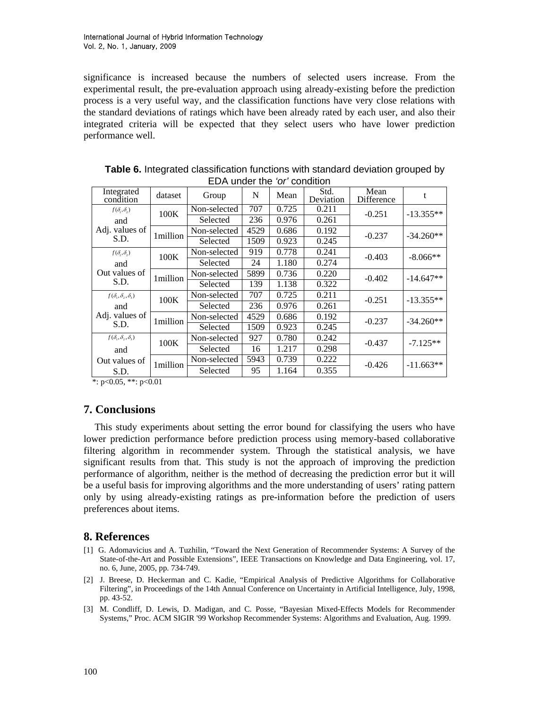significance is increased because the numbers of selected users increase. From the experimental result, the pre-evaluation approach using already-existing before the prediction process is a very useful way, and the classification functions have very close relations with the standard deviations of ratings which have been already rated by each user, and also their integrated criteria will be expected that they select users who have lower prediction performance well.

| .                                                                                                   |          |              |      |       |                   |                    |             |  |  |
|-----------------------------------------------------------------------------------------------------|----------|--------------|------|-------|-------------------|--------------------|-------------|--|--|
| Integrated<br>condition                                                                             | dataset  | Group        | N    | Mean  | Std.<br>Deviation | Mean<br>Difference | t           |  |  |
| $f(\delta_{\scriptscriptstyle{1}},\delta_{\scriptscriptstyle{2}})$                                  | 100K     | Non-selected | 707  | 0.725 | 0.211             | $-0.251$           | $-13.355**$ |  |  |
| and                                                                                                 |          | Selected     | 236  | 0.976 | 0.261             |                    |             |  |  |
| Adj. values of                                                                                      | 1million | Non-selected | 4529 | 0.686 | 0.192             | $-0.237$           | $-34.260**$ |  |  |
| S.D.                                                                                                |          | Selected     | 1509 | 0.923 | 0.245             |                    |             |  |  |
| $f(\delta_{\scriptscriptstyle{1}},\delta_{\scriptscriptstyle{2}})$                                  | 100K     | Non-selected | 919  | 0.778 | 0.241             | $-0.403$           | $-8.066**$  |  |  |
| and                                                                                                 |          | Selected     | 24   | 1.180 | 0.274             |                    |             |  |  |
| Out values of                                                                                       | 1million | Non-selected | 5899 | 0.736 | 0.220             | $-0.402$           | $-14.647**$ |  |  |
| S.D.                                                                                                |          | Selected     | 139  | 1.138 | 0.322             |                    |             |  |  |
| $f(\delta_{1},\delta_{2},\delta_{3})$                                                               | 100K     | Non-selected | 707  | 0.725 | 0.211             | $-0.251$           | $-13.355**$ |  |  |
| and                                                                                                 |          | Selected     | 236  | 0.976 | 0.261             |                    |             |  |  |
| Adj. values of                                                                                      | 1million | Non-selected | 4529 | 0.686 | 0.192             | $-0.237$           | $-34.260**$ |  |  |
| S.D.                                                                                                |          | Selected     | 1509 | 0.923 | 0.245             |                    |             |  |  |
| $f(\delta_{\scriptscriptstyle{1}}, \delta_{\scriptscriptstyle{2}}, \delta_{\scriptscriptstyle{3}})$ | 100K     | Non-selected | 927  | 0.780 | 0.242             | $-0.437$           | $-7.125**$  |  |  |
| and                                                                                                 |          | Selected     | 16   | 1.217 | 0.298             |                    |             |  |  |
| Out values of                                                                                       | 1million | Non-selected | 5943 | 0.739 | 0.222             | $-0.426$           | $-11.663**$ |  |  |
| S.D.                                                                                                |          | Selected     | 95   | 1.164 | 0.355             |                    |             |  |  |

**Table 6.** Integrated classification functions with standard deviation grouped by EDA under the *'or'* condition

\*:  $p<0.05$ , \*\*:  $p<0.01$ 

# **7. Conclusions**

This study experiments about setting the error bound for classifying the users who have lower prediction performance before prediction process using memory-based collaborative filtering algorithm in recommender system. Through the statistical analysis, we have significant results from that. This study is not the approach of improving the prediction performance of algorithm, neither is the method of decreasing the prediction error but it will be a useful basis for improving algorithms and the more understanding of users' rating pattern only by using already-existing ratings as pre-information before the prediction of users preferences about items.

# **8. References**

- [1] G. Adomavicius and A. Tuzhilin, "Toward the Next Generation of Recommender Systems: A Survey of the State-of-the-Art and Possible Extensions", IEEE Transactions on Knowledge and Data Engineering, vol. 17, no. 6, June, 2005, pp. 734-749.
- [2] J. Breese, D. Heckerman and C. Kadie, "Empirical Analysis of Predictive Algorithms for Collaborative Filtering", in Proceedings of the 14th Annual Conference on Uncertainty in Artificial Intelligence, July, 1998, pp. 43-52.
- [3] M. Condliff, D. Lewis, D. Madigan, and C. Posse, "Bayesian Mixed-Effects Models for Recommender Systems," Proc. ACM SIGIR '99 Workshop Recommender Systems: Algorithms and Evaluation, Aug. 1999.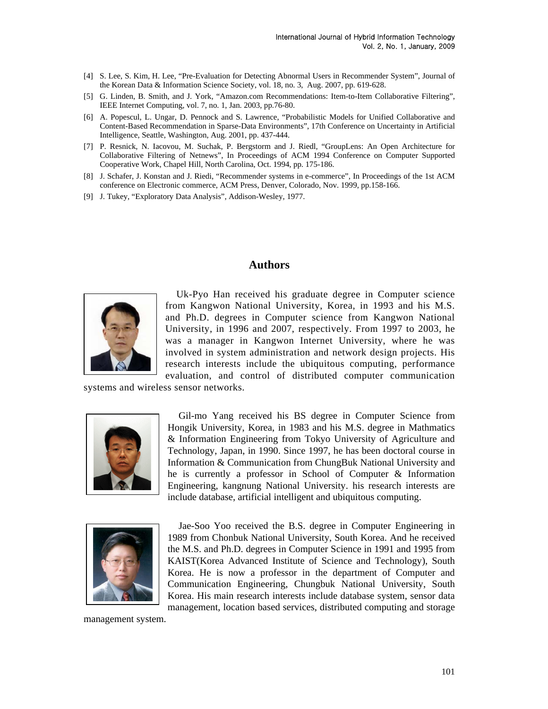- [4] S. Lee, S. Kim, H. Lee, "Pre-Evaluation for Detecting Abnormal Users in Recommender System", Journal of the Korean Data & Information Science Society, vol. 18, no. 3, Aug. 2007, pp. 619-628.
- [5] G. Linden, B. Smith, and J. York, "Amazon.com Recommendations: Item-to-Item Collaborative Filtering", IEEE Internet Computing, vol. 7, no. 1, Jan. 2003, pp.76-80.
- [6] A. Popescul, L. Ungar, D. Pennock and S. Lawrence, "Probabilistic Models for Unified Collaborative and Content-Based Recommendation in Sparse-Data Environments", 17th Conference on Uncertainty in Artificial Intelligence, Seattle, Washington, Aug. 2001, pp. 437-444.
- [7] P. Resnick, N. Iacovou, M. Suchak, P. Bergstorm and J. Riedl, "GroupLens: An Open Architecture for Collaborative Filtering of Netnews", In Proceedings of ACM 1994 Conference on Computer Supported Cooperative Work, Chapel Hill, North Carolina, Oct. 1994, pp. 175-186.
- [8] J. Schafer, J. Konstan and J. Riedi, "Recommender systems in e-commerce", In Proceedings of the 1st ACM conference on Electronic commerce, ACM Press, Denver, Colorado, Nov. 1999, pp.158-166.
- [9] J. Tukey, "Exploratory Data Analysis", Addison-Wesley, 1977.

### **Authors**



Uk-Pyo Han received his graduate degree in Computer science from Kangwon National University, Korea, in 1993 and his M.S. and Ph.D. degrees in Computer science from Kangwon National University, in 1996 and 2007, respectively. From 1997 to 2003, he was a manager in Kangwon Internet University, where he was involved in system administration and network design projects. His research interests include the ubiquitous computing, performance evaluation, and control of distributed computer communication

systems and wireless sensor networks.



Gil-mo Yang received his BS degree in Computer Science from Hongik University, Korea, in 1983 and his M.S. degree in Mathmatics & Information Engineering from Tokyo University of Agriculture and Technology, Japan, in 1990. Since 1997, he has been doctoral course in Information & Communication from ChungBuk National University and he is currently a professor in School of Computer & Information Engineering, kangnung National University. his research interests are include database, artificial intelligent and ubiquitous computing.



Jae-Soo Yoo received the B.S. degree in Computer Engineering in 1989 from Chonbuk National University, South Korea. And he received the M.S. and Ph.D. degrees in Computer Science in 1991 and 1995 from KAIST(Korea Advanced Institute of Science and Technology), South Korea. He is now a professor in the department of Computer and Communication Engineering, Chungbuk National University, South Korea. His main research interests include database system, sensor data management, location based services, distributed computing and storage

management system.